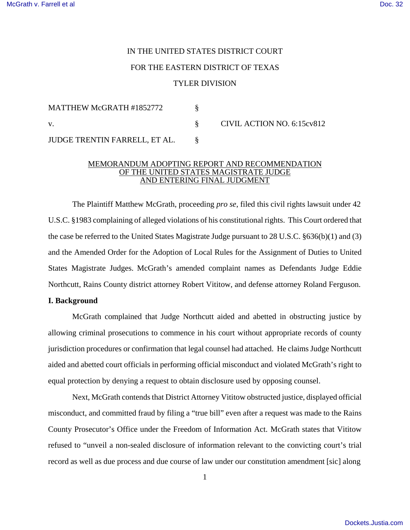# IN THE UNITED STATES DISTRICT COURT FOR THE EASTERN DISTRICT OF TEXAS TYLER DIVISION

| MATTHEW McGRATH #1852772      |                            |
|-------------------------------|----------------------------|
| V.                            | CIVIL ACTION NO. 6:15cv812 |
| JUDGE TRENTIN FARRELL, ET AL. |                            |

## MEMORANDUM ADOPTING REPORT AND RECOMMENDATION OF THE UNITED STATES MAGISTRATE JUDGE AND ENTERING FINAL JUDGMENT

The Plaintiff Matthew McGrath, proceeding *pro se*, filed this civil rights lawsuit under 42 U.S.C. §1983 complaining of alleged violations of his constitutional rights. This Court ordered that the case be referred to the United States Magistrate Judge pursuant to 28 U.S.C. §636(b)(1) and (3) and the Amended Order for the Adoption of Local Rules for the Assignment of Duties to United States Magistrate Judges. McGrath's amended complaint names as Defendants Judge Eddie Northcutt, Rains County district attorney Robert Vititow, and defense attorney Roland Ferguson.

# **I. Background**

McGrath complained that Judge Northcutt aided and abetted in obstructing justice by allowing criminal prosecutions to commence in his court without appropriate records of county jurisdiction procedures or confirmation that legal counsel had attached. He claims Judge Northcutt aided and abetted court officials in performing official misconduct and violated McGrath's right to equal protection by denying a request to obtain disclosure used by opposing counsel.

Next, McGrath contends that District Attorney Vititow obstructed justice, displayed official misconduct, and committed fraud by filing a "true bill" even after a request was made to the Rains County Prosecutor's Office under the Freedom of Information Act. McGrath states that Vititow refused to "unveil a non-sealed disclosure of information relevant to the convicting court's trial record as well as due process and due course of law under our constitution amendment [sic] along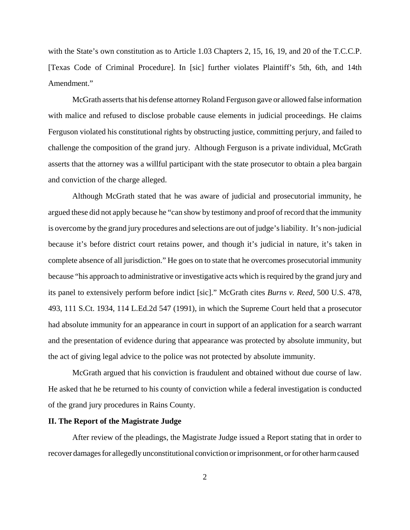with the State's own constitution as to Article 1.03 Chapters 2, 15, 16, 19, and 20 of the T.C.C.P. [Texas Code of Criminal Procedure]. In [sic] further violates Plaintiff's 5th, 6th, and 14th Amendment."

McGrath asserts that his defense attorney Roland Ferguson gave or allowed false information with malice and refused to disclose probable cause elements in judicial proceedings. He claims Ferguson violated his constitutional rights by obstructing justice, committing perjury, and failed to challenge the composition of the grand jury. Although Ferguson is a private individual, McGrath asserts that the attorney was a willful participant with the state prosecutor to obtain a plea bargain and conviction of the charge alleged.

Although McGrath stated that he was aware of judicial and prosecutorial immunity, he argued these did not apply because he "can show by testimony and proof of record that the immunity is overcome by the grand jury procedures and selections are out of judge's liability. It's non-judicial because it's before district court retains power, and though it's judicial in nature, it's taken in complete absence of all jurisdiction." He goes on to state that he overcomes prosecutorial immunity because "his approach to administrative or investigative acts which is required by the grand jury and its panel to extensively perform before indict [sic]." McGrath cites *Burns v. Reed*, 500 U.S. 478, 493, 111 S.Ct. 1934, 114 L.Ed.2d 547 (1991), in which the Supreme Court held that a prosecutor had absolute immunity for an appearance in court in support of an application for a search warrant and the presentation of evidence during that appearance was protected by absolute immunity, but the act of giving legal advice to the police was not protected by absolute immunity.

McGrath argued that his conviction is fraudulent and obtained without due course of law. He asked that he be returned to his county of conviction while a federal investigation is conducted of the grand jury procedures in Rains County.

# **II. The Report of the Magistrate Judge**

After review of the pleadings, the Magistrate Judge issued a Report stating that in order to recover damages for allegedly unconstitutional conviction or imprisonment, or for other harm caused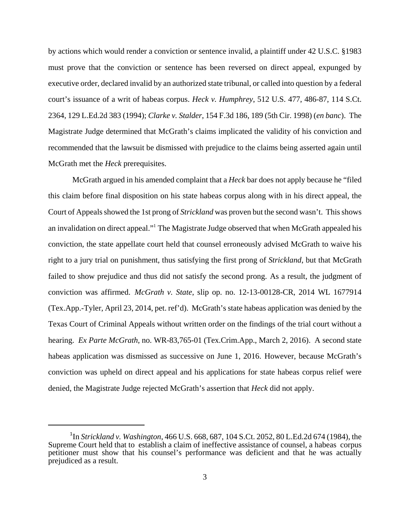by actions which would render a conviction or sentence invalid, a plaintiff under 42 U.S.C. §1983 must prove that the conviction or sentence has been reversed on direct appeal, expunged by executive order, declared invalid by an authorized state tribunal, or called into question by a federal court's issuance of a writ of habeas corpus. *Heck v. Humphrey*, 512 U.S. 477, 486-87, 114 S.Ct. 2364, 129 L.Ed.2d 383 (1994); *Clarke v. Stalder*, 154 F.3d 186, 189 (5th Cir. 1998) (*en banc*). The Magistrate Judge determined that McGrath's claims implicated the validity of his conviction and recommended that the lawsuit be dismissed with prejudice to the claims being asserted again until McGrath met the *Heck* prerequisites.

McGrath argued in his amended complaint that a *Heck* bar does not apply because he "filed this claim before final disposition on his state habeas corpus along with in his direct appeal, the Court of Appeals showed the 1st prong of *Strickland* was proven but the second wasn't. This shows an invalidation on direct appeal."<sup>1</sup> The Magistrate Judge observed that when McGrath appealed his conviction, the state appellate court held that counsel erroneously advised McGrath to waive his right to a jury trial on punishment, thus satisfying the first prong of *Strickland*, but that McGrath failed to show prejudice and thus did not satisfy the second prong. As a result, the judgment of conviction was affirmed. *McGrath v. State*, slip op. no. 12-13-00128-CR, 2014 WL 1677914 (Tex.App.-Tyler, April 23, 2014, pet. ref'd). McGrath's state habeas application was denied by the Texas Court of Criminal Appeals without written order on the findings of the trial court without a hearing. *Ex Parte McGrath*, no. WR-83,765-01 (Tex.Crim.App., March 2, 2016). A second state habeas application was dismissed as successive on June 1, 2016. However, because McGrath's conviction was upheld on direct appeal and his applications for state habeas corpus relief were denied, the Magistrate Judge rejected McGrath's assertion that *Heck* did not apply.

<sup>1</sup> In *Strickland v. Washington*, 466 U.S. 668, 687, 104 S.Ct. 2052, 80 L.Ed.2d 674 (1984), the Supreme Court held that to establish a claim of ineffective assistance of counsel, a habeas corpus petitioner must show that his counsel's performance was deficient and that he was actually prejudiced as a result.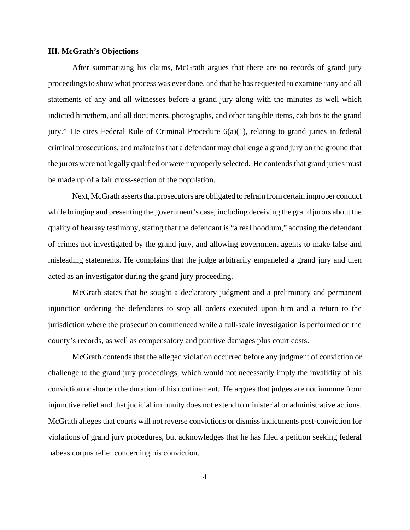### **III. McGrath's Objections**

After summarizing his claims, McGrath argues that there are no records of grand jury proceedings to show what process was ever done, and that he has requested to examine "any and all statements of any and all witnesses before a grand jury along with the minutes as well which indicted him/them, and all documents, photographs, and other tangible items, exhibits to the grand jury." He cites Federal Rule of Criminal Procedure 6(a)(1), relating to grand juries in federal criminal prosecutions, and maintains that a defendant may challenge a grand jury on the ground that the jurors were not legally qualified or were improperly selected. He contends that grand juries must be made up of a fair cross-section of the population.

Next, McGrath asserts that prosecutors are obligated to refrain from certain improper conduct while bringing and presenting the government's case, including deceiving the grand jurors about the quality of hearsay testimony, stating that the defendant is "a real hoodlum," accusing the defendant of crimes not investigated by the grand jury, and allowing government agents to make false and misleading statements. He complains that the judge arbitrarily empaneled a grand jury and then acted as an investigator during the grand jury proceeding.

McGrath states that he sought a declaratory judgment and a preliminary and permanent injunction ordering the defendants to stop all orders executed upon him and a return to the jurisdiction where the prosecution commenced while a full-scale investigation is performed on the county's records, as well as compensatory and punitive damages plus court costs.

McGrath contends that the alleged violation occurred before any judgment of conviction or challenge to the grand jury proceedings, which would not necessarily imply the invalidity of his conviction or shorten the duration of his confinement. He argues that judges are not immune from injunctive relief and that judicial immunity does not extend to ministerial or administrative actions. McGrath alleges that courts will not reverse convictions or dismiss indictments post-conviction for violations of grand jury procedures, but acknowledges that he has filed a petition seeking federal habeas corpus relief concerning his conviction.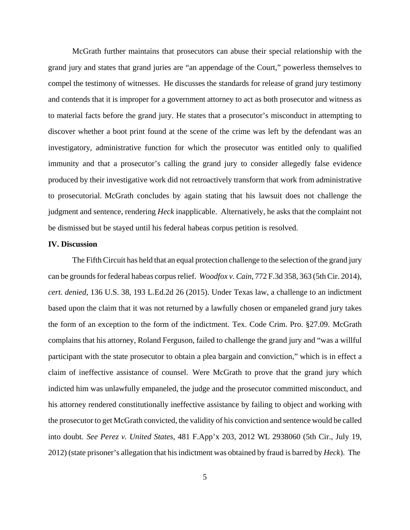McGrath further maintains that prosecutors can abuse their special relationship with the grand jury and states that grand juries are "an appendage of the Court," powerless themselves to compel the testimony of witnesses. He discusses the standards for release of grand jury testimony and contends that it is improper for a government attorney to act as both prosecutor and witness as to material facts before the grand jury. He states that a prosecutor's misconduct in attempting to discover whether a boot print found at the scene of the crime was left by the defendant was an investigatory, administrative function for which the prosecutor was entitled only to qualified immunity and that a prosecutor's calling the grand jury to consider allegedly false evidence produced by their investigative work did not retroactively transform that work from administrative to prosecutorial. McGrath concludes by again stating that his lawsuit does not challenge the judgment and sentence, rendering *Heck* inapplicable. Alternatively, he asks that the complaint not be dismissed but be stayed until his federal habeas corpus petition is resolved.

### **IV. Discussion**

The Fifth Circuit has held that an equal protection challenge to the selection of the grand jury can be grounds for federal habeas corpus relief. *Woodfox v. Cain*, 772 F.3d 358, 363 (5th Cir. 2014), *cert. denied*, 136 U.S. 38, 193 L.Ed.2d 26 (2015). Under Texas law, a challenge to an indictment based upon the claim that it was not returned by a lawfully chosen or empaneled grand jury takes the form of an exception to the form of the indictment. Tex. Code Crim. Pro. §27.09. McGrath complains that his attorney, Roland Ferguson, failed to challenge the grand jury and "was a willful participant with the state prosecutor to obtain a plea bargain and conviction," which is in effect a claim of ineffective assistance of counsel. Were McGrath to prove that the grand jury which indicted him was unlawfully empaneled, the judge and the prosecutor committed misconduct, and his attorney rendered constitutionally ineffective assistance by failing to object and working with the prosecutor to get McGrath convicted, the validity of his conviction and sentence would be called into doubt. *See Perez v. United States*, 481 F.App'x 203, 2012 WL 2938060 (5th Cir., July 19, 2012) (state prisoner's allegation that his indictment was obtained by fraud is barred by *Heck*). The